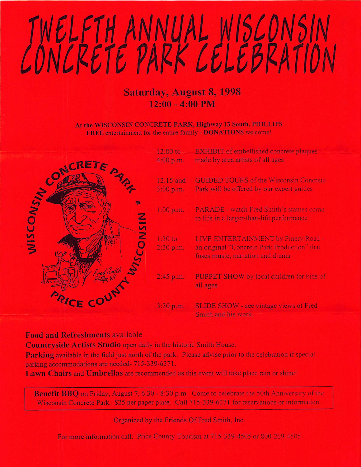## TWELFTH ANNUAL WISCONSIN

## Saturday, August 8, 1998  $12:00 - 4:00$  PM

At the WISCONSIN CONCRETE PARK, Highway 13 South, PHILLIPS FREE entertainment for the entire family - DONATIONS welcome!

|                      |                    | $12:00$ to             | EXHIBIT of embellished concrete plaques                                                                                |
|----------------------|--------------------|------------------------|------------------------------------------------------------------------------------------------------------------------|
| <b>CONSIN</b><br>SIN | CRETE<br>CON       | 4:00 p.m.              | made by area artists of all ages                                                                                       |
|                      |                    | 12:15 and<br>3:00 p.m. | <b>GUIDED TOURS of the Wisconsin Concrete</b><br>Park will be offered by our expert guides                             |
|                      |                    | 1:00 p.m.              | PARADE - watch Fred Smith's statues come<br>to life in a larger-than-life performance                                  |
|                      |                    | 1:30 to<br>2:30 p.m.   | LIVE ENTERTAINMENT by Pinery Road -<br>an original "Concrete Park Production" that<br>fuses music, narration and drama |
|                      | UNIS<br>Fred Smith | $2:45$ p.m.            | PUPPET SHOW by local children for kids of<br>all ages                                                                  |
|                      | CF                 | $3:30$ p.m.            | SLIDE SHOW - see vintage views of Fred<br>Smith and his work.                                                          |

## Food and Refreshments available

Countryside Artists Studio open daily in the historic Smith House.

Parking available in the field just north of the park. Please advise prior to the celebration if special parking accommodations are needed- 715-339-6371.

Lawn Chairs and Umbrellas are recommended as this event will take place rain or shine!

Benefit BBQ on Friday, August 7, 6:30 - 8:30 p.m. Come to celebrate the 50th Anniversary of the Wisconsin Concrete Park. \$25 per paper plate. Call 715-339-6371 for reservations or infomiation.

Organized by the Friends Of Fred Smith, Inc.

For more information call: Price County Tourism at 715-339-4505 or 800-269-4505